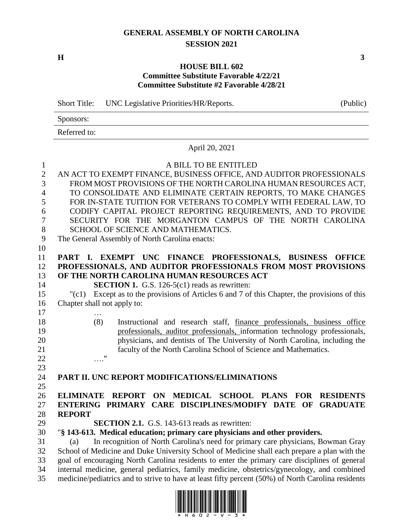# **GENERAL ASSEMBLY OF NORTH CAROLINA SESSION 2021**

**H 3**

## **HOUSE BILL 602 Committee Substitute Favorable 4/22/21 Committee Substitute #2 Favorable 4/28/21**

Short Title: UNC Legislative Priorities/HR/Reports. (Public)

Sponsors: Referred to:

April 20, 2021

#### A BILL TO BE ENTITLED

 AN ACT TO EXEMPT FINANCE, BUSINESS OFFICE, AND AUDITOR PROFESSIONALS FROM MOST PROVISIONS OF THE NORTH CAROLINA HUMAN RESOURCES ACT, TO CONSOLIDATE AND ELIMINATE CERTAIN REPORTS, TO MAKE CHANGES FOR IN-STATE TUITION FOR VETERANS TO COMPLY WITH FEDERAL LAW, TO CODIFY CAPITAL PROJECT REPORTING REQUIREMENTS, AND TO PROVIDE SECURITY FOR THE MORGANTON CAMPUS OF THE NORTH CAROLINA 8 SCHOOL OF SCIENCE AND MATHEMATICS. The General Assembly of North Carolina enacts: **PART I. EXEMPT UNC FINANCE PROFESSIONALS, BUSINESS OFFICE PROFESSIONALS, AND AUDITOR PROFESSIONALS FROM MOST PROVISIONS OF THE NORTH CAROLINA HUMAN RESOURCES ACT SECTION 1.** G.S. 126-5(c1) reads as rewritten: "(c1) Except as to the provisions of Articles 6 and 7 of this Chapter, the provisions of this Chapter shall not apply to: … (8) Instructional and research staff, finance professionals, business office professionals, auditor professionals, information technology professionals,

 physicians, and dentists of The University of North Carolina, including the faculty of the North Carolina School of Science and Mathematics. …."

## **PART II. UNC REPORT MODIFICATIONS/ELIMINATIONS**

- **ELIMINATE REPORT ON MEDICAL SCHOOL PLANS FOR RESIDENTS ENTERING PRIMARY CARE DISCIPLINES/MODIFY DATE OF GRADUATE REPORT**
- **SECTION 2.1.** G.S. 143-613 reads as rewritten:

#### "**§ 143-613. Medical education; primary care physicians and other providers.**

 (a) In recognition of North Carolina's need for primary care physicians, Bowman Gray School of Medicine and Duke University School of Medicine shall each prepare a plan with the goal of encouraging North Carolina residents to enter the primary care disciplines of general internal medicine, general pediatrics, family medicine, obstetrics/gynecology, and combined medicine/pediatrics and to strive to have at least fifty percent (50%) of North Carolina residents

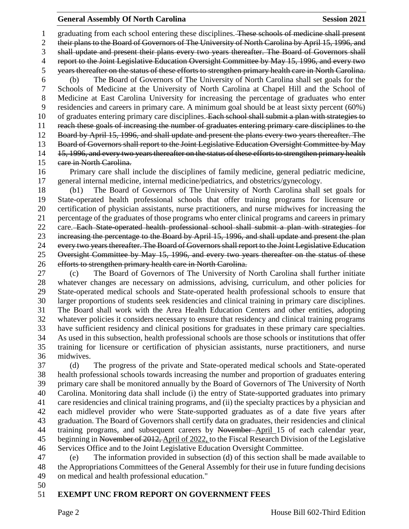## **General Assembly Of North Carolina Session 2021**

 graduating from each school entering these disciplines. These schools of medicine shall present their plans to the Board of Governors of The University of North Carolina by April 15, 1996, and shall update and present their plans every two years thereafter. The Board of Governors shall report to the Joint Legislative Education Oversight Committee by May 15, 1996, and every two years thereafter on the status of these efforts to strengthen primary health care in North Carolina. (b) The Board of Governors of The University of North Carolina shall set goals for the Schools of Medicine at the University of North Carolina at Chapel Hill and the School of Medicine at East Carolina University for increasing the percentage of graduates who enter residencies and careers in primary care. A minimum goal should be at least sixty percent (60%) 10 of graduates entering primary care disciplines. Each school shall submit a plan with strategies to reach these goals of increasing the number of graduates entering primary care disciplines to the Board by April 15, 1996, and shall update and present the plans every two years thereafter. The Board of Governors shall report to the Joint Legislative Education Oversight Committee by May 14 15, 1996, and every two years thereafter on the status of these efforts to strengthen primary health 15 eare in North Carolina.

 Primary care shall include the disciplines of family medicine, general pediatric medicine, general internal medicine, internal medicine/pediatrics, and obstetrics/gynecology.

 (b1) The Board of Governors of The University of North Carolina shall set goals for State-operated health professional schools that offer training programs for licensure or certification of physician assistants, nurse practitioners, and nurse midwives for increasing the percentage of the graduates of those programs who enter clinical programs and careers in primary 22 care. Each State operated health professional school shall submit a plan with strategies for increasing the percentage to the Board by April 15, 1996, and shall update and present the plan every two years thereafter. The Board of Governors shall report to the Joint Legislative Education Oversight Committee by May 15, 1996, and every two years thereafter on the status of these efforts to strengthen primary health care in North Carolina.

 (c) The Board of Governors of The University of North Carolina shall further initiate whatever changes are necessary on admissions, advising, curriculum, and other policies for State-operated medical schools and State-operated health professional schools to ensure that larger proportions of students seek residencies and clinical training in primary care disciplines. The Board shall work with the Area Health Education Centers and other entities, adopting whatever policies it considers necessary to ensure that residency and clinical training programs have sufficient residency and clinical positions for graduates in these primary care specialties. As used in this subsection, health professional schools are those schools or institutions that offer training for licensure or certification of physician assistants, nurse practitioners, and nurse midwives.

 (d) The progress of the private and State-operated medical schools and State-operated health professional schools towards increasing the number and proportion of graduates entering primary care shall be monitored annually by the Board of Governors of The University of North Carolina. Monitoring data shall include (i) the entry of State-supported graduates into primary care residencies and clinical training programs, and (ii) the specialty practices by a physician and each midlevel provider who were State-supported graduates as of a date five years after graduation. The Board of Governors shall certify data on graduates, their residencies and clinical 44 training programs, and subsequent careers by November-April 15 of each calendar year, 45 beginning in November of 2012, April of 2022, to the Fiscal Research Division of the Legislative Services Office and to the Joint Legislative Education Oversight Committee.

 (e) The information provided in subsection (d) of this section shall be made available to the Appropriations Committees of the General Assembly for their use in future funding decisions on medical and health professional education."

## **EXEMPT UNC FROM REPORT ON GOVERNMENT FEES**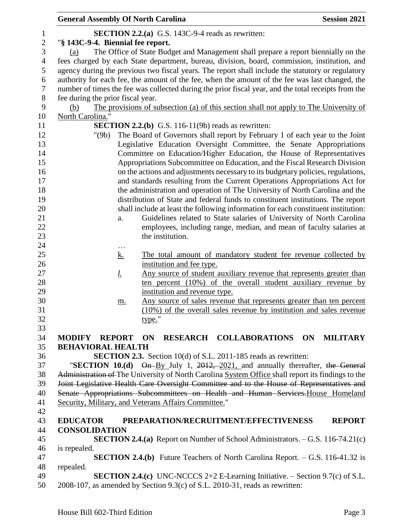| <b>General Assembly Of North Carolina</b> |                                                                             | <b>Session 2021</b>                                                                                 |
|-------------------------------------------|-----------------------------------------------------------------------------|-----------------------------------------------------------------------------------------------------|
|                                           | <b>SECTION 2.2.(a)</b> G.S. 143C-9-4 reads as rewritten:                    |                                                                                                     |
| "§ 143C-9-4. Biennial fee report.         |                                                                             |                                                                                                     |
| (a)                                       |                                                                             | The Office of State Budget and Management shall prepare a report biennially on the                  |
|                                           |                                                                             | fees charged by each State department, bureau, division, board, commission, institution, and        |
|                                           |                                                                             | agency during the previous two fiscal years. The report shall include the statutory or regulatory   |
|                                           |                                                                             | authority for each fee, the amount of the fee, when the amount of the fee was last changed, the     |
|                                           |                                                                             | number of times the fee was collected during the prior fiscal year, and the total receipts from the |
|                                           |                                                                             |                                                                                                     |
| fee during the prior fiscal year.         |                                                                             |                                                                                                     |
| (b)                                       |                                                                             | The provisions of subsection (a) of this section shall not apply to The University of               |
| North Carolina."                          |                                                                             |                                                                                                     |
|                                           | <b>SECTION 2.2.(b)</b> G.S. 116-11(9b) reads as rewritten:                  |                                                                                                     |
| "(9b)                                     |                                                                             | The Board of Governors shall report by February 1 of each year to the Joint                         |
|                                           |                                                                             | Legislative Education Oversight Committee, the Senate Appropriations                                |
|                                           |                                                                             | Committee on Education/Higher Education, the House of Representatives                               |
|                                           |                                                                             | Appropriations Subcommittee on Education, and the Fiscal Research Division                          |
|                                           |                                                                             | on the actions and adjustments necessary to its budgetary policies, regulations,                    |
|                                           |                                                                             | and standards resulting from the Current Operations Appropriations Act for                          |
|                                           |                                                                             | the administration and operation of The University of North Carolina and the                        |
|                                           |                                                                             | distribution of State and federal funds to constituent institutions. The report                     |
|                                           |                                                                             | shall include at least the following information for each constituent institution:                  |
| a.                                        |                                                                             | Guidelines related to State salaries of University of North Carolina                                |
|                                           |                                                                             | employees, including range, median, and mean of faculty salaries at                                 |
|                                           | the institution.                                                            |                                                                                                     |
| $\cdots$                                  |                                                                             |                                                                                                     |
| <u>k.</u>                                 |                                                                             | The total amount of mandatory student fee revenue collected by                                      |
|                                           | institution and fee type.                                                   |                                                                                                     |
| <u>l.</u>                                 |                                                                             | Any source of student auxiliary revenue that represents greater than                                |
|                                           |                                                                             | ten percent (10%) of the overall student auxiliary revenue by                                       |
|                                           | institution and revenue type.                                               |                                                                                                     |
| m.                                        |                                                                             | Any source of sales revenue that represents greater than ten percent                                |
|                                           |                                                                             | (10%) of the overall sales revenue by institution and sales revenue                                 |
|                                           | type."                                                                      |                                                                                                     |
|                                           |                                                                             |                                                                                                     |
| <b>MODIFY REPORT</b>                      | RESEARCH COLLABORATIONS ON<br>ON                                            | <b>MILITARY</b>                                                                                     |
| <b>BEHAVIORAL HEALTH</b>                  |                                                                             |                                                                                                     |
|                                           | <b>SECTION 2.3.</b> Section 10(d) of S.L. 2011-185 reads as rewritten:      |                                                                                                     |
|                                           |                                                                             | "SECTION 10.(d) On-By July 1, 2012, 2021, and annually thereafter, the General                      |
|                                           |                                                                             | Administration of The University of North Carolina System Office shall report its findings to the   |
|                                           |                                                                             | Joint Legislative Health Care Oversight Committee and to the House of Representatives and           |
|                                           |                                                                             | Senate Appropriations Subcommittees on Health and Human Services. House Homeland                    |
|                                           | Security, Military, and Veterans Affairs Committee."                        |                                                                                                     |
|                                           |                                                                             |                                                                                                     |
| <b>EDUCATOR</b>                           | PREPARATION/RECRUITMENT/EFFECTIVENESS                                       | <b>REPORT</b>                                                                                       |
| <b>CONSOLIDATION</b>                      |                                                                             |                                                                                                     |
|                                           |                                                                             | <b>SECTION 2.4.(a)</b> Report on Number of School Administrators. $-$ G.S. 116-74.21(c)             |
| is repealed.                              |                                                                             |                                                                                                     |
|                                           |                                                                             | <b>SECTION 2.4.(b)</b> Future Teachers of North Carolina Report. $-$ G.S. 116-41.32 is              |
| repealed.                                 |                                                                             |                                                                                                     |
|                                           |                                                                             | <b>SECTION 2.4.(c)</b> UNC-NCCCS $2+2$ E-Learning Initiative. – Section 9.7(c) of S.L.              |
|                                           | 2008-107, as amended by Section 9.3(c) of S.L. 2010-31, reads as rewritten: |                                                                                                     |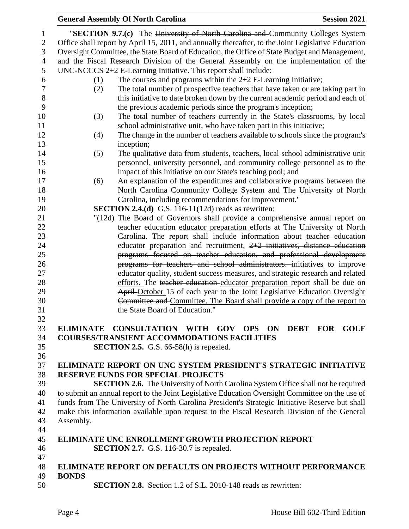|                  | <b>General Assembly Of North Carolina</b><br><b>Session 2021</b>                                                                               |
|------------------|------------------------------------------------------------------------------------------------------------------------------------------------|
| 1                | "SECTION 9.7.(c) The University of North Carolina and Community Colleges System                                                                |
| $\sqrt{2}$       | Office shall report by April 15, 2011, and annually thereafter, to the Joint Legislative Education                                             |
| 3                | Oversight Committee, the State Board of Education, the Office of State Budget and Management,                                                  |
| $\overline{4}$   | and the Fiscal Research Division of the General Assembly on the implementation of the                                                          |
| 5                | $UNC-NCCCS 2+2 E-Learning Initiative. This report shall include:$                                                                              |
| 6                | The courses and programs within the $2+2$ E-Learning Initiative;<br>(1)                                                                        |
| $\boldsymbol{7}$ | The total number of prospective teachers that have taken or are taking part in<br>(2)                                                          |
| $8\,$            |                                                                                                                                                |
| 9                | this initiative to date broken down by the current academic period and each of<br>the previous academic periods since the program's inception; |
|                  |                                                                                                                                                |
| 10<br>11         | The total number of teachers currently in the State's classrooms, by local<br>(3)                                                              |
| 12               | school administrative unit, who have taken part in this initiative;                                                                            |
|                  | The change in the number of teachers available to schools since the program's<br>(4)                                                           |
| 13               | inception;                                                                                                                                     |
| 14               | The qualitative data from students, teachers, local school administrative unit<br>(5)                                                          |
| 15               | personnel, university personnel, and community college personnel as to the                                                                     |
| 16               | impact of this initiative on our State's teaching pool; and                                                                                    |
| 17               | An explanation of the expenditures and collaborative programs between the<br>(6)                                                               |
| 18               | North Carolina Community College System and The University of North                                                                            |
| 19               | Carolina, including recommendations for improvement."                                                                                          |
| 20               | <b>SECTION 2.4.(d)</b> G.S. 116-11(12d) reads as rewritten:                                                                                    |
| 21               | "(12d) The Board of Governors shall provide a comprehensive annual report on                                                                   |
| 22               | teacher education educator preparation efforts at The University of North                                                                      |
| 23               | Carolina. The report shall include information about teacher education                                                                         |
| 24               | educator preparation and recruitment, $2+2$ initiatives, distance education                                                                    |
| 25               | programs focused on teacher education, and professional development                                                                            |
| 26               | programs for teachers and school administrators. initiatives to improve                                                                        |
| 27               | educator quality, student success measures, and strategic research and related                                                                 |
| 28               | efforts. The teacher education educator preparation report shall be due on                                                                     |
| 29               | April-October 15 of each year to the Joint Legislative Education Oversight                                                                     |
| 30               | Committee and Committee. The Board shall provide a copy of the report to                                                                       |
| 31<br>32         | the State Board of Education."                                                                                                                 |
| 33               | ELIMINATE CONSULTATION WITH GOV OPS ON DEBT FOR GOLF                                                                                           |
|                  | <b>COURSES/TRANSIENT ACCOMMODATIONS FACILITIES</b>                                                                                             |
| 34<br>35         |                                                                                                                                                |
|                  | <b>SECTION 2.5.</b> G.S. 66-58(h) is repealed.                                                                                                 |
| 36<br>37         | ELIMINATE REPORT ON UNC SYSTEM PRESIDENT'S STRATEGIC INITIATIVE                                                                                |
| 38               | <b>RESERVE FUNDS FOR SPECIAL PROJECTS</b>                                                                                                      |
| 39               | <b>SECTION 2.6.</b> The University of North Carolina System Office shall not be required                                                       |
| 40               | to submit an annual report to the Joint Legislative Education Oversight Committee on the use of                                                |
|                  | funds from The University of North Carolina President's Strategic Initiative Reserve but shall                                                 |
| 41<br>42         | make this information available upon request to the Fiscal Research Division of the General                                                    |
| 43               |                                                                                                                                                |
|                  | Assembly.                                                                                                                                      |
| 44<br>45         | <b>ELIMINATE UNC ENROLLMENT GROWTH PROJECTION REPORT</b>                                                                                       |
| 46               | <b>SECTION 2.7.</b> G.S. 116-30.7 is repealed.                                                                                                 |
| 47               |                                                                                                                                                |
| 48               | <b>ELIMINATE REPORT ON DEFAULTS ON PROJECTS WITHOUT PERFORMANCE</b>                                                                            |
| 49               | <b>BONDS</b>                                                                                                                                   |
| 50               | <b>SECTION 2.8.</b> Section 1.2 of S.L. 2010-148 reads as rewritten:                                                                           |
|                  |                                                                                                                                                |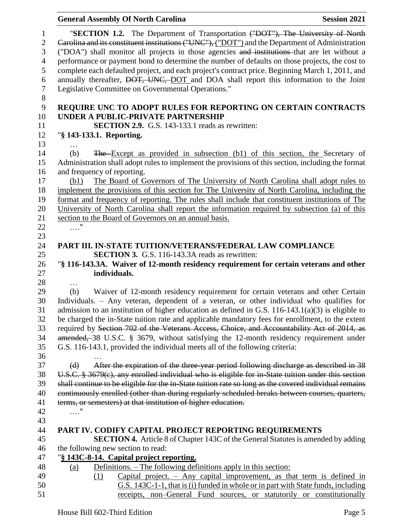|                              | <b>General Assembly Of North Carolina</b>                                                                                                                                                               | <b>Session 2021</b> |
|------------------------------|---------------------------------------------------------------------------------------------------------------------------------------------------------------------------------------------------------|---------------------|
| $\mathbf{1}$<br>$\mathbf{2}$ | "SECTION 1.2. The Department of Transportation ("DOT"), The University of North<br>Carolina and its constituent institutions ("UNC"), ("DOT") and the Department of Administration                      |                     |
| 3                            | ("DOA") shall monitor all projects in those agencies and institutions that are let without a                                                                                                            |                     |
| $\overline{4}$               | performance or payment bond to determine the number of defaults on those projects, the cost to                                                                                                          |                     |
| 5                            | complete each defaulted project, and each project's contract price. Beginning March 1, 2011, and                                                                                                        |                     |
| 6                            | annually thereafter, DOT, UNC, DOT and DOA shall report this information to the Joint                                                                                                                   |                     |
| $\boldsymbol{7}$<br>$8\,$    | Legislative Committee on Governmental Operations."                                                                                                                                                      |                     |
| 9                            | REQUIRE UNC TO ADOPT RULES FOR REPORTING ON CERTAIN CONTRACTS                                                                                                                                           |                     |
| 10                           | UNDER A PUBLIC-PRIVATE PARTNERSHIP                                                                                                                                                                      |                     |
| 11                           | <b>SECTION 2.9.</b> G.S. 143-133.1 reads as rewritten:                                                                                                                                                  |                     |
| 12                           | "§ 143-133.1. Reporting.                                                                                                                                                                                |                     |
| 13                           |                                                                                                                                                                                                         |                     |
| 14                           | The Except as provided in subsection (b1) of this section, the Secretary of<br>(b)                                                                                                                      |                     |
| 15                           | Administration shall adopt rules to implement the provisions of this section, including the format                                                                                                      |                     |
| 16                           | and frequency of reporting.                                                                                                                                                                             |                     |
| 17                           | The Board of Governors of The University of North Carolina shall adopt rules to<br>(b1)                                                                                                                 |                     |
| 18                           | implement the provisions of this section for The University of North Carolina, including the                                                                                                            |                     |
| 19                           | format and frequency of reporting. The rules shall include that constituent institutions of The                                                                                                         |                     |
| 20                           | University of North Carolina shall report the information required by subsection (a) of this                                                                                                            |                     |
| 21                           | section to the Board of Governors on an annual basis.                                                                                                                                                   |                     |
| 22                           | $\ldots$ "                                                                                                                                                                                              |                     |
| 23                           |                                                                                                                                                                                                         |                     |
| 24                           | PART III. IN-STATE TUITION/VETERANS/FEDERAL LAW COMPLIANCE                                                                                                                                              |                     |
| 25                           | <b>SECTION 3.</b> G.S. 116-143.3A reads as rewritten:                                                                                                                                                   |                     |
| 26                           | "§ 116-143.3A. Waiver of 12-month residency requirement for certain veterans and other                                                                                                                  |                     |
| 27                           | individuals.                                                                                                                                                                                            |                     |
| 28                           | $\cdots$                                                                                                                                                                                                |                     |
| 29                           | Waiver of 12-month residency requirement for certain veterans and other Certain<br>(b)                                                                                                                  |                     |
| 30                           | Individuals. - Any veteran, dependent of a veteran, or other individual who qualifies for                                                                                                               |                     |
| 31<br>32                     | admission to an institution of higher education as defined in G.S. $116-143.1(a)(3)$ is eligible to<br>be charged the in-State tuition rate and applicable mandatory fees for enrollment, to the extent |                     |
| 33                           | required by Section 702 of the Veterans Access, Choice, and Accountability Act of 2014, as                                                                                                              |                     |
| 34                           | amended, 38 U.S.C. § 3679, without satisfying the 12-month residency requirement under                                                                                                                  |                     |
| 35                           | G.S. 116-143.1, provided the individual meets all of the following criteria:                                                                                                                            |                     |
| 36                           |                                                                                                                                                                                                         |                     |
| 37                           | After the expiration of the three year period following discharge as described in 38<br>(d)                                                                                                             |                     |
| 38                           | U.S.C. § 3679(c), any enrolled individual who is eligible for in-State tuition under this section                                                                                                       |                     |
| 39                           | shall continue to be eligible for the in-State tuition rate so long as the covered individual remains                                                                                                   |                     |
| 40                           | continuously enrolled (other than during regularly scheduled breaks between courses, quarters,                                                                                                          |                     |
| 41                           | terms, or semesters) at that institution of higher education.                                                                                                                                           |                     |
| 42                           | $\ldots$ "                                                                                                                                                                                              |                     |
| 43                           |                                                                                                                                                                                                         |                     |
| 44                           | PART IV. CODIFY CAPITAL PROJECT REPORTING REQUIREMENTS                                                                                                                                                  |                     |
| 45                           | <b>SECTION 4.</b> Article 8 of Chapter 143C of the General Statutes is amended by adding                                                                                                                |                     |
| 46                           | the following new section to read:                                                                                                                                                                      |                     |
| 47                           | "§ 143C-8-14. Capital project reporting.                                                                                                                                                                |                     |
| 48                           | <u>Definitions. – The following definitions apply in this section:</u><br>(a)                                                                                                                           |                     |
| 49                           | Capital project. $-$ Any capital improvement, as that term is defined in<br>(1)                                                                                                                         |                     |
| 50                           | G.S. 143C-1-1, that is (i) funded in whole or in part with State funds, including                                                                                                                       |                     |
| 51                           | receipts, non-General Fund sources, or statutorily or constitutionally                                                                                                                                  |                     |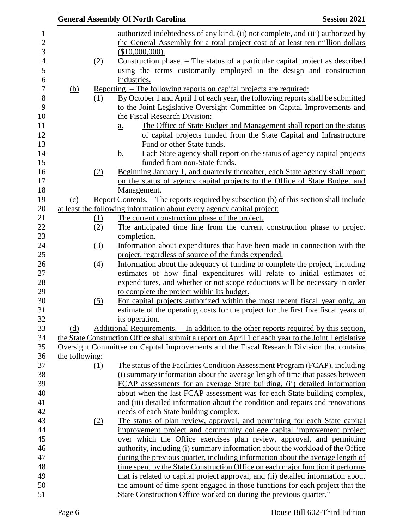|            |                  | <b>General Assembly Of North Carolina</b>                                                            | <b>Session 2021</b> |
|------------|------------------|------------------------------------------------------------------------------------------------------|---------------------|
|            |                  | authorized indebtedness of any kind, (ii) not complete, and (iii) authorized by                      |                     |
|            |                  | the General Assembly for a total project cost of at least ten million dollars                        |                     |
|            |                  | $$10,000,000$ .                                                                                      |                     |
|            | (2)              | <u>Construction phase. – The status of a particular capital project as described</u>                 |                     |
|            |                  | using the terms customarily employed in the design and construction                                  |                     |
|            |                  | industries.                                                                                          |                     |
| <u>(b)</u> |                  | <u>Reporting. – The following reports on capital projects are required:</u>                          |                     |
|            | (1)              | By October 1 and April 1 of each year, the following reports shall be submitted                      |                     |
|            |                  | to the Joint Legislative Oversight Committee on Capital Improvements and                             |                     |
|            |                  | the Fiscal Research Division:                                                                        |                     |
|            |                  | The Office of State Budget and Management shall report on the status<br>$\underline{a}$ .            |                     |
|            |                  | of capital projects funded from the State Capital and Infrastructure                                 |                     |
|            |                  | Fund or other State funds.                                                                           |                     |
|            |                  | <u>b.</u><br>Each State agency shall report on the status of agency capital projects                 |                     |
|            |                  | funded from non-State funds.                                                                         |                     |
|            | (2)              | Beginning January 1, and quarterly thereafter, each State agency shall report                        |                     |
|            |                  | on the status of agency capital projects to the Office of State Budget and                           |                     |
|            |                  | Management.                                                                                          |                     |
| (c)        |                  | <u>Report Contents. – The reports required by subsection (b) of this section shall include</u>       |                     |
|            |                  | at least the following information about every agency capital project:                               |                     |
|            | <u>(1)</u>       | The current construction phase of the project.                                                       |                     |
|            | (2)              | The anticipated time line from the current construction phase to project                             |                     |
|            |                  | completion.                                                                                          |                     |
|            | (3)              | Information about expenditures that have been made in connection with the                            |                     |
|            |                  | project, regardless of source of the funds expended.                                                 |                     |
|            | $\left(4\right)$ | Information about the adequacy of funding to complete the project, including                         |                     |
|            |                  | estimates of how final expenditures will relate to initial estimates of                              |                     |
|            |                  | expenditures, and whether or not scope reductions will be necessary in order                         |                     |
|            |                  | to complete the project within its budget.                                                           |                     |
|            | (5)              | For capital projects authorized within the most recent fiscal year only, an                          |                     |
|            |                  | estimate of the operating costs for the project for the first five fiscal years of                   |                     |
|            |                  | its operation.                                                                                       |                     |
| (d)        |                  | Additional Requirements. - In addition to the other reports required by this section,                |                     |
|            |                  | the State Construction Office shall submit a report on April 1 of each year to the Joint Legislative |                     |
|            |                  | Oversight Committee on Capital Improvements and the Fiscal Research Division that contains           |                     |
|            | the following:   |                                                                                                      |                     |
|            | (1)              | The status of the Facilities Condition Assessment Program (FCAP), including                          |                     |
|            |                  | (i) summary information about the average length of time that passes between                         |                     |
|            |                  | FCAP assessments for an average State building, (ii) detailed information                            |                     |
|            |                  | about when the last FCAP assessment was for each State building complex,                             |                     |
|            |                  | and (iii) detailed information about the condition and repairs and renovations                       |                     |
|            |                  | needs of each State building complex.                                                                |                     |
|            | (2)              | The status of plan review, approval, and permitting for each State capital                           |                     |
|            |                  | improvement project and community college capital improvement project                                |                     |
|            |                  | over which the Office exercises plan review, approval, and permitting                                |                     |
|            |                  | authority, including (i) summary information about the workload of the Office                        |                     |
|            |                  | during the previous quarter, including information about the average length of                       |                     |
|            |                  | time spent by the State Construction Office on each major function it performs                       |                     |
|            |                  | that is related to capital project approval, and (ii) detailed information about                     |                     |
|            |                  | the amount of time spent engaged in those functions for each project that the                        |                     |
|            |                  | State Construction Office worked on during the previous quarter."                                    |                     |